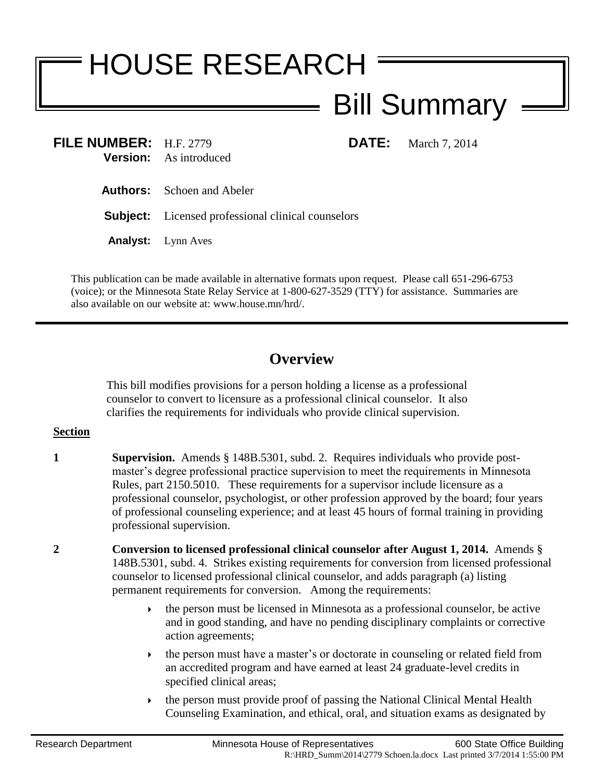## HOUSE RESEARCH Bill Summary

**FILE NUMBER:** H.F. 2779 **DATE:** March 7, 2014 **Version:** As introduced

**Authors:** Schoen and Abeler

**Subject:** Licensed professional clinical counselors

**Analyst:** Lynn Aves

This publication can be made available in alternative formats upon request. Please call 651-296-6753 (voice); or the Minnesota State Relay Service at 1-800-627-3529 (TTY) for assistance. Summaries are also available on our website at: www.house.mn/hrd/.

## **Overview**

This bill modifies provisions for a person holding a license as a professional counselor to convert to licensure as a professional clinical counselor. It also clarifies the requirements for individuals who provide clinical supervision.

## **Section**

- **1 Supervision.** Amends § 148B.5301, subd. 2. Requires individuals who provide postmaster's degree professional practice supervision to meet the requirements in Minnesota Rules, part 2150.5010. These requirements for a supervisor include licensure as a professional counselor, psychologist, or other profession approved by the board; four years of professional counseling experience; and at least 45 hours of formal training in providing professional supervision.
- **2 Conversion to licensed professional clinical counselor after August 1, 2014.** Amends § 148B.5301, subd. 4. Strikes existing requirements for conversion from licensed professional counselor to licensed professional clinical counselor, and adds paragraph (a) listing permanent requirements for conversion. Among the requirements:
	- $\rightarrow$  the person must be licensed in Minnesota as a professional counselor, be active and in good standing, and have no pending disciplinary complaints or corrective action agreements;
	- the person must have a master's or doctorate in counseling or related field from an accredited program and have earned at least 24 graduate-level credits in specified clinical areas;
	- the person must provide proof of passing the National Clinical Mental Health Counseling Examination, and ethical, oral, and situation exams as designated by